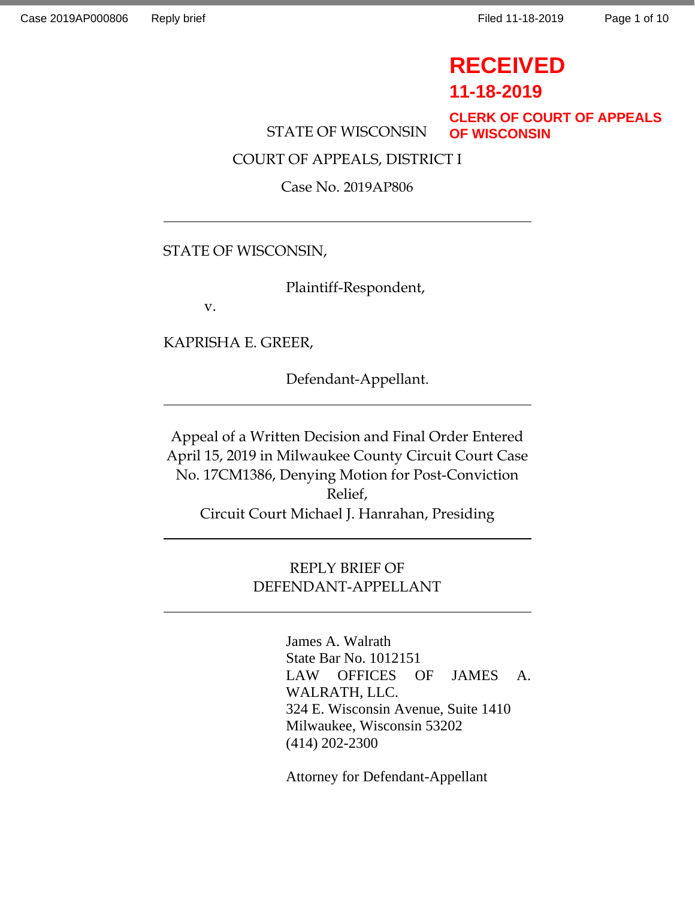# **RECEIVED**

**11-18-2019**

**CLERK OF COURT OF APPEALS OF WISCONSIN**

STATE OF WISCONSIN

COURT OF APPEALS, DISTRICT I

Case No. 2019AP806

### STATE OF WISCONSIN,

Plaintiff-Respondent,

v.

KAPRISHA E. GREER,

Defendant-Appellant.

Appeal of a Written Decision and Final Order Entered April 15, 2019 in Milwaukee County Circuit Court Case No. 17CM1386, Denying Motion for Post-Conviction Relief, Circuit Court Michael J. Hanrahan, Presiding

## REPLY BRIEF OF DEFENDANT-APPELLANT

James A. Walrath State Bar No. 1012151 LAW OFFICES OF JAMES A. WALRATH, LLC. 324 E. Wisconsin Avenue, Suite 1410 Milwaukee, Wisconsin 53202 (414) 202-2300

Attorney for Defendant-Appellant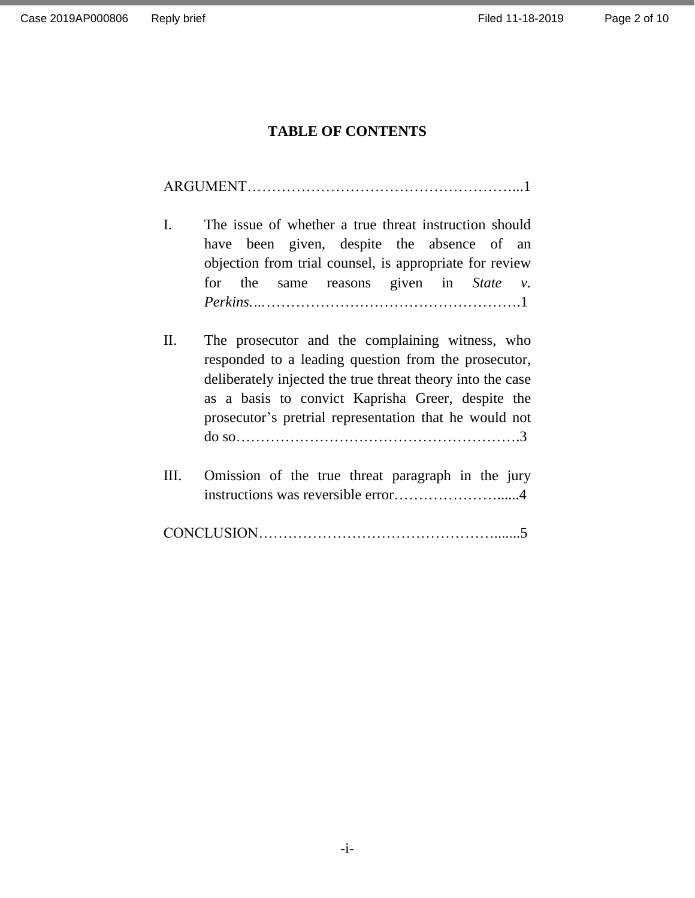## **TABLE OF CONTENTS**

|--|

| $\mathbf{L}$ |  | The issue of whether a true threat instruction should   |  |  |
|--------------|--|---------------------------------------------------------|--|--|
|              |  | have been given, despite the absence of an              |  |  |
|              |  | objection from trial counsel, is appropriate for review |  |  |
|              |  | for the same reasons given in State $v$ .               |  |  |
|              |  |                                                         |  |  |

- II. The prosecutor and the complaining witness, who responded to a leading question from the prosecutor, deliberately injected the true threat theory into the case as a basis to convict Kaprisha Greer, despite the prosecutor's pretrial representation that he would not do so………………………………………………….3
- III. Omission of the true threat paragraph in the jury instructions was reversible error…………………......4

|--|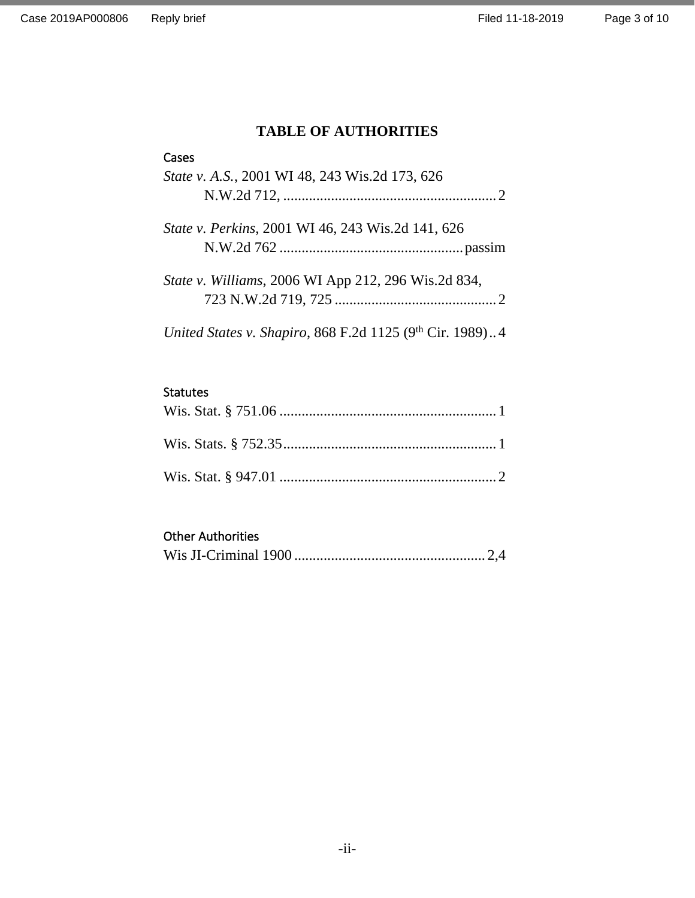## **TABLE OF AUTHORITIES**

#### Cases

| State v. A.S., 2001 WI 48, 243 Wis.2d 173, 626           |
|----------------------------------------------------------|
| State v. Perkins, 2001 WI 46, 243 Wis.2d 141, 626        |
| State v. Williams, 2006 WI App 212, 296 Wis.2d 834,      |
| United States v. Shapiro, 868 F.2d 1125 (9th Cir. 1989)4 |

## Statutes

# Other Authorities

|--|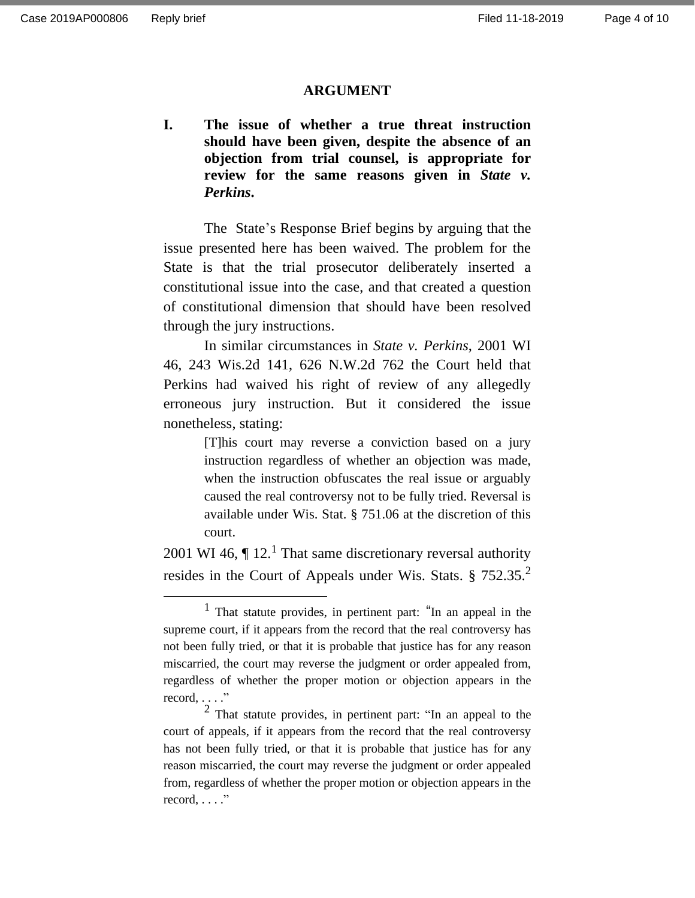#### **ARGUMENT**

**I. The issue of whether a true threat instruction should have been given, despite the absence of an objection from trial counsel, is appropriate for review for the same reasons given in** *State v. Perkins***.**

The State's Response Brief begins by arguing that the issue presented here has been waived. The problem for the State is that the trial prosecutor deliberately inserted a constitutional issue into the case, and that created a question of constitutional dimension that should have been resolved through the jury instructions.

In similar circumstances in *State v. Perkins*, 2001 WI 46, 243 Wis.2d 141, 626 N.W.2d 762 the Court held that Perkins had waived his right of review of any allegedly erroneous jury instruction. But it considered the issue nonetheless, stating:

> [T]his court may reverse a conviction based on a jury instruction regardless of whether an objection was made, when the instruction obfuscates the real issue or arguably caused the real controversy not to be fully tried. Reversal is available under Wis. Stat. § 751.06 at the discretion of this court.

2001 WI 46,  $\P$  12.<sup>1</sup> That same discretionary reversal authority resides in the Court of Appeals under Wis. Stats.  $\S 752.35$ <sup>2</sup>

<sup>1</sup> That statute provides, in pertinent part: "In an appeal in the supreme court, if it appears from the record that the real controversy has not been fully tried, or that it is probable that justice has for any reason miscarried, the court may reverse the judgment or order appealed from, regardless of whether the proper motion or objection appears in the  $record. \ldots$ ."

<sup>2</sup> That statute provides, in pertinent part: "In an appeal to the court of appeals, if it appears from the record that the real controversy has not been fully tried, or that it is probable that justice has for any reason miscarried, the court may reverse the judgment or order appealed from, regardless of whether the proper motion or objection appears in the  $record, \ldots$ ."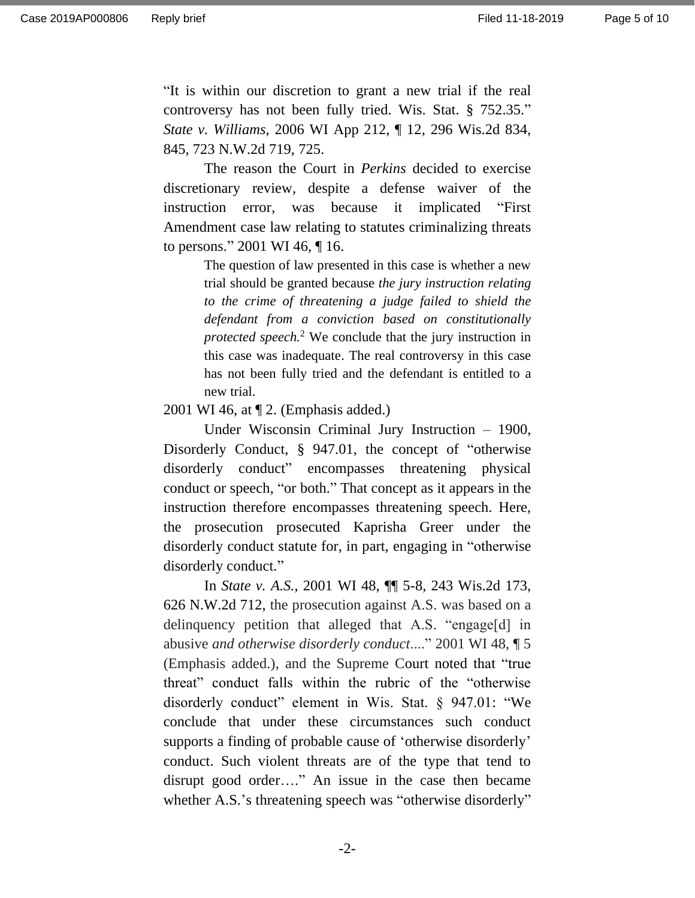"It is within our discretion to grant a new trial if the real controversy has not been fully tried. Wis. Stat. § 752.35." *State v. Williams*, 2006 WI App 212, ¶ 12, 296 Wis.2d 834, 845, 723 N.W.2d 719, 725.

The reason the Court in *Perkins* decided to exercise discretionary review, despite a defense waiver of the instruction error, was because it implicated "First Amendment case law relating to statutes criminalizing threats to persons." 2001 WI 46, ¶ 16.

> The question of law presented in this case is whether a new trial should be granted because *the jury instruction relating to the crime of threatening a judge failed to shield the defendant from a conviction based on constitutionally protected speech.*<sup>2</sup> We conclude that the jury instruction in this case was inadequate. The real controversy in this case has not been fully tried and the defendant is entitled to a new trial.

2001 WI 46, at ¶ 2. (Emphasis added.)

Under Wisconsin Criminal Jury Instruction – 1900, Disorderly Conduct, § 947.01, the concept of "otherwise disorderly conduct" encompasses threatening physical conduct or speech, "or both." That concept as it appears in the instruction therefore encompasses threatening speech. Here, the prosecution prosecuted Kaprisha Greer under the disorderly conduct statute for, in part, engaging in "otherwise disorderly conduct."

In *State v. A.S.*[, 2001 WI 48, ¶¶ 5-8, 243 Wis.2d 173,](https://1.next.westlaw.com/Link/Document/FullText?findType=Y&serNum=2001420155&pubNum=595&originatingDoc=Ibbaf5e23ff2711d983e7e9deff98dc6f&refType=RP&originationContext=document&transitionType=DocumentItem&contextData=(sc.Keycite))  [626 N.W.2d 712,](https://1.next.westlaw.com/Link/Document/FullText?findType=Y&serNum=2001420155&pubNum=595&originatingDoc=Ibbaf5e23ff2711d983e7e9deff98dc6f&refType=RP&originationContext=document&transitionType=DocumentItem&contextData=(sc.Keycite)) the prosecution against A.S. was based on a delinquency petition that alleged that A.S. "engage[d] in abusive *and otherwise disorderly conduct*...." 2001 WI 48, ¶ 5 (Emphasis added.), and the Supreme Court noted that "true threat" conduct falls within the rubric of the "otherwise disorderly conduct" element in Wis. Stat. § 947.01: "We conclude that under these circumstances such conduct supports a finding of probable cause of 'otherwise disorderly' conduct. Such violent threats are of the type that tend to disrupt good order…." An issue in the case then became whether A.S.'s threatening speech was "otherwise disorderly"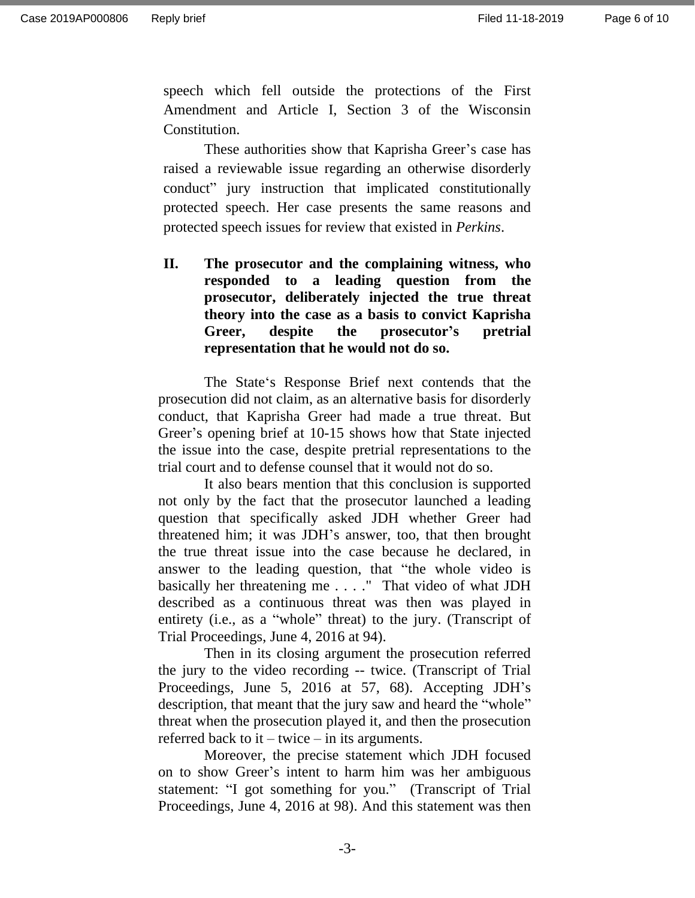speech which fell outside the protections of the First Amendment and [Article I, Section 3 of the Wisconsin](https://1.next.westlaw.com/Link/Document/FullText?findType=L&pubNum=1000260&cite=WICNART1S3&originatingDoc=I2a3692c1ff2611d983e7e9deff98dc6f&refType=LQ&originationContext=document&transitionType=DocumentItem&contextData=(sc.Search))  [Constitution.](https://1.next.westlaw.com/Link/Document/FullText?findType=L&pubNum=1000260&cite=WICNART1S3&originatingDoc=I2a3692c1ff2611d983e7e9deff98dc6f&refType=LQ&originationContext=document&transitionType=DocumentItem&contextData=(sc.Search))

These authorities show that Kaprisha Greer's case has raised a reviewable issue regarding an otherwise disorderly conduct" jury instruction that implicated constitutionally protected speech. Her case presents the same reasons and protected speech issues for review that existed in *Perkins*.

**II. The prosecutor and the complaining witness, who responded to a leading question from the prosecutor, deliberately injected the true threat theory into the case as a basis to convict Kaprisha Greer, despite the prosecutor's pretrial representation that he would not do so.**

The State's Response Brief next contends that the prosecution did not claim, as an alternative basis for disorderly conduct, that Kaprisha Greer had made a true threat. But Greer's opening brief at 10-15 shows how that State injected the issue into the case, despite pretrial representations to the trial court and to defense counsel that it would not do so.

It also bears mention that this conclusion is supported not only by the fact that the prosecutor launched a leading question that specifically asked JDH whether Greer had threatened him; it was JDH's answer, too, that then brought the true threat issue into the case because he declared, in answer to the leading question, that "the whole video is basically her threatening me . . . ." That video of what JDH described as a continuous threat was then was played in entirety (i.e., as a "whole" threat) to the jury. (Transcript of Trial Proceedings, June 4, 2016 at 94).

Then in its closing argument the prosecution referred the jury to the video recording -- twice. (Transcript of Trial Proceedings, June 5, 2016 at 57, 68). Accepting JDH's description, that meant that the jury saw and heard the "whole" threat when the prosecution played it, and then the prosecution referred back to it – twice – in its arguments.

Moreover, the precise statement which JDH focused on to show Greer's intent to harm him was her ambiguous statement: "I got something for you." (Transcript of Trial Proceedings, June 4, 2016 at 98). And this statement was then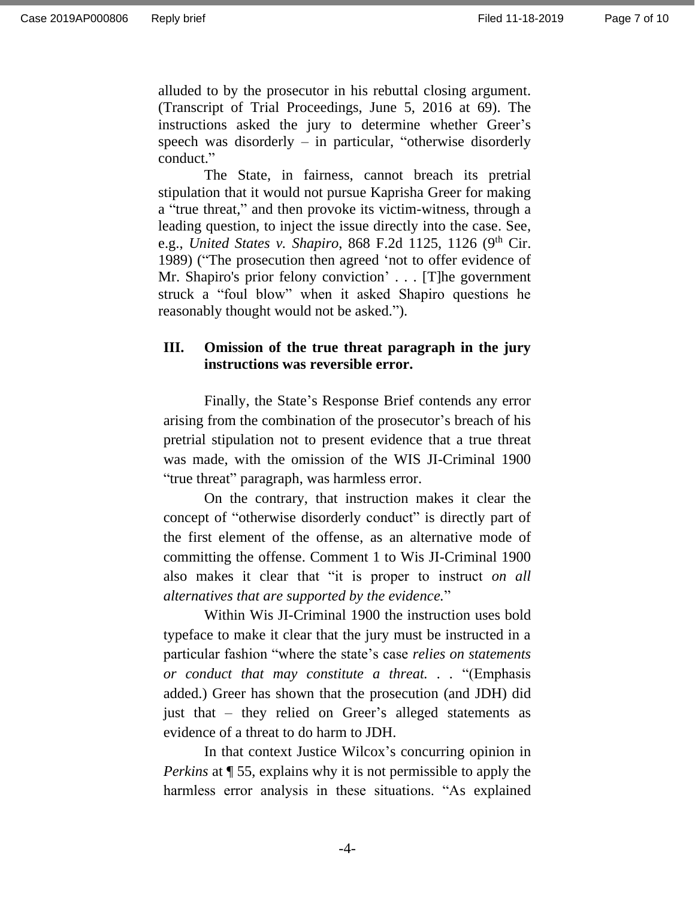alluded to by the prosecutor in his rebuttal closing argument. (Transcript of Trial Proceedings, June 5, 2016 at 69). The instructions asked the jury to determine whether Greer's speech was disorderly  $-$  in particular, "otherwise disorderly conduct."

The State, in fairness, cannot breach its pretrial stipulation that it would not pursue Kaprisha Greer for making a "true threat," and then provoke its victim-witness, through a leading question, to inject the issue directly into the case. See, e.g., *United States v. Shapiro*, 868 F.2d 1125, 1126 (9 th Cir. 1989) ("The prosecution then agreed 'not to offer evidence of Mr. Shapiro's prior felony conviction' . . . [T]he government struck a "foul blow" when it asked Shapiro questions he reasonably thought would not be asked.").

### **III. Omission of the true threat paragraph in the jury instructions was reversible error.**

Finally, the State's Response Brief contends any error arising from the combination of the prosecutor's breach of his pretrial stipulation not to present evidence that a true threat was made, with the omission of the WIS JI-Criminal 1900 "true threat" paragraph, was harmless error.

On the contrary, that instruction makes it clear the concept of "otherwise disorderly conduct" is directly part of the first element of the offense, as an alternative mode of committing the offense. Comment 1 to Wis JI-Criminal 1900 also makes it clear that "it is proper to instruct *on all alternatives that are supported by the evidence.*"

Within Wis JI-Criminal 1900 the instruction uses bold typeface to make it clear that the jury must be instructed in a particular fashion "where the state's case *relies on statements or conduct that may constitute a threat. . .* "(Emphasis added.) Greer has shown that the prosecution (and JDH) did just that – they relied on Greer's alleged statements as evidence of a threat to do harm to JDH.

In that context Justice Wilcox's concurring opinion in *Perkins* at ¶ 55, explains why it is not permissible to apply the harmless error analysis in these situations. "As explained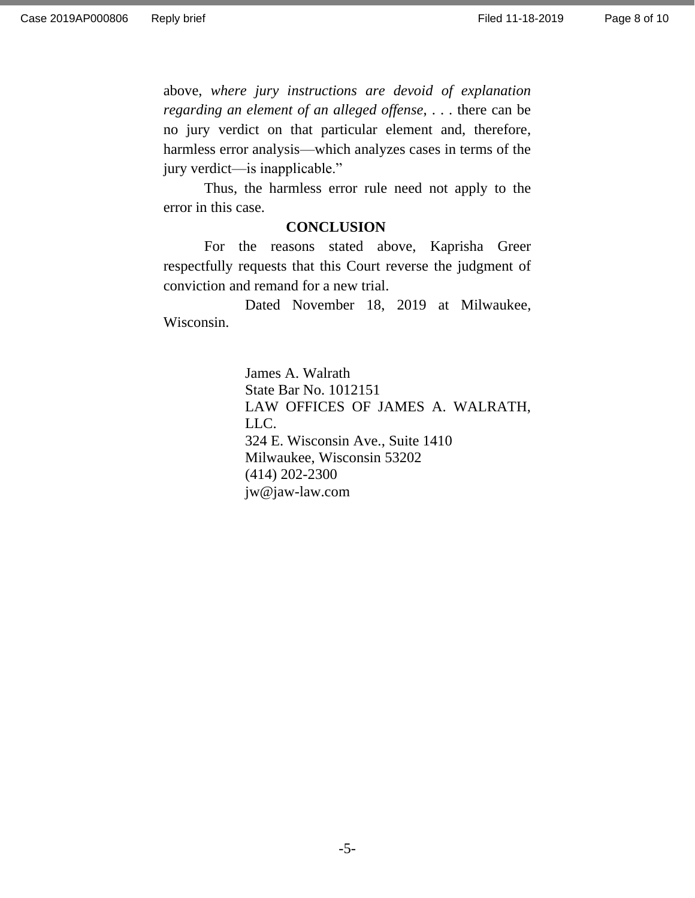above, *where jury instructions are devoid of explanation regarding an element of an alleged offense*, . . . there can be no jury verdict on that particular element and, therefore, harmless error analysis—which analyzes cases in terms of the jury verdict—is inapplicable."

Thus, the harmless error rule need not apply to the error in this case.

#### **CONCLUSION**

For the reasons stated above, Kaprisha Greer respectfully requests that this Court reverse the judgment of conviction and remand for a new trial.

Dated November 18, 2019 at Milwaukee, Wisconsin.

> James A. Walrath State Bar No. 1012151 LAW OFFICES OF JAMES A. WALRATH, LLC. 324 E. Wisconsin Ave., Suite 1410 Milwaukee, Wisconsin 53202 (414) 202-2300 jw@jaw-law.com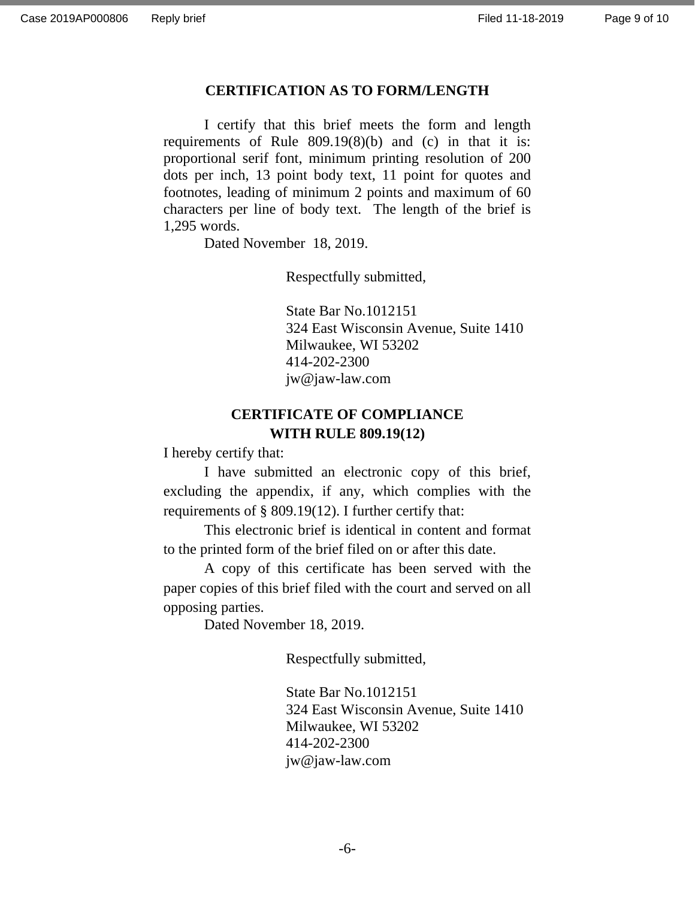#### **CERTIFICATION AS TO FORM/LENGTH**

I certify that this brief meets the form and length requirements of Rule 809.19(8)(b) and (c) in that it is: proportional serif font, minimum printing resolution of 200 dots per inch, 13 point body text, 11 point for quotes and footnotes, leading of minimum 2 points and maximum of 60 characters per line of body text. The length of the brief is 1,295 words.

Dated November 18, 2019.

Respectfully submitted,

State Bar No.1012151 324 East Wisconsin Avenue, Suite 1410 Milwaukee, WI 53202 414-202-2300 jw@jaw-law.com

## **CERTIFICATE OF COMPLIANCE WITH RULE 809.19(12)**

I hereby certify that:

I have submitted an electronic copy of this brief, excluding the appendix, if any, which complies with the requirements of § 809.19(12). I further certify that:

This electronic brief is identical in content and format to the printed form of the brief filed on or after this date.

A copy of this certificate has been served with the paper copies of this brief filed with the court and served on all opposing parties.

Dated November 18, 2019.

Respectfully submitted,

State Bar No.1012151 324 East Wisconsin Avenue, Suite 1410 Milwaukee, WI 53202 414-202-2300 jw@jaw-law.com